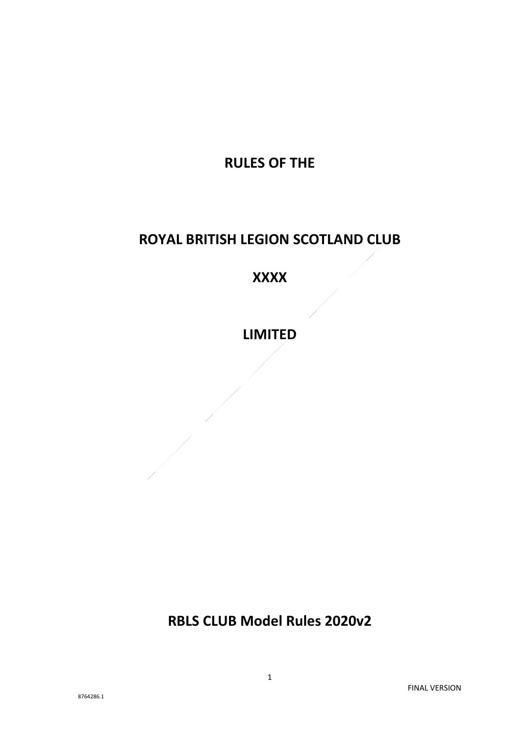# **RULES OF THE**

# **ROYAL BRITISH LEGION SCOTLAND CLUB**

# **XXXX**

**LIMITED**

**RBLS CLUB Model Rules 2020v2**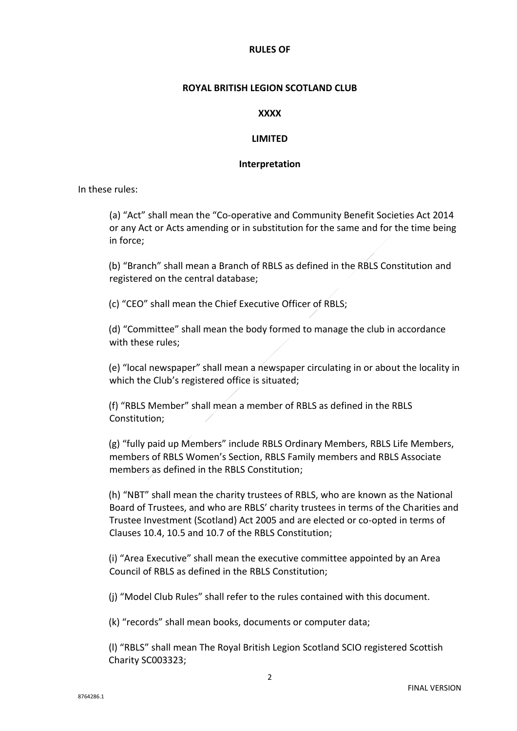#### **RULES OF**

#### **ROYAL BRITISH LEGION SCOTLAND CLUB**

#### **XXXX**

#### **LIMITED**

#### **Interpretation**

In these rules:

(a) "Act" shall mean the "Co-operative and Community Benefit Societies Act 2014 or any Act or Acts amending or in substitution for the same and for the time being in force;

(b) "Branch" shall mean a Branch of RBLS as defined in the RBLS Constitution and registered on the central database;

(c) "CEO" shall mean the Chief Executive Officer of RBLS;

(d) "Committee" shall mean the body formed to manage the club in accordance with these rules;

(e) "local newspaper" shall mean a newspaper circulating in or about the locality in which the Club's registered office is situated;

(f) "RBLS Member" shall mean a member of RBLS as defined in the RBLS Constitution;

(g) "fully paid up Members" include RBLS Ordinary Members, RBLS Life Members, members of RBLS Women's Section, RBLS Family members and RBLS Associate members as defined in the RBLS Constitution;

(h) "NBT" shall mean the charity trustees of RBLS, who are known as the National Board of Trustees, and who are RBLS' charity trustees in terms of the Charities and Trustee Investment (Scotland) Act 2005 and are elected or co-opted in terms of Clauses 10.4, 10.5 and 10.7 of the RBLS Constitution;

(i) "Area Executive" shall mean the executive committee appointed by an Area Council of RBLS as defined in the RBLS Constitution;

(j) "Model Club Rules" shall refer to the rules contained with this document.

(k) "records" shall mean books, documents or computer data;

(l) "RBLS" shall mean The Royal British Legion Scotland SCIO registered Scottish Charity SC003323;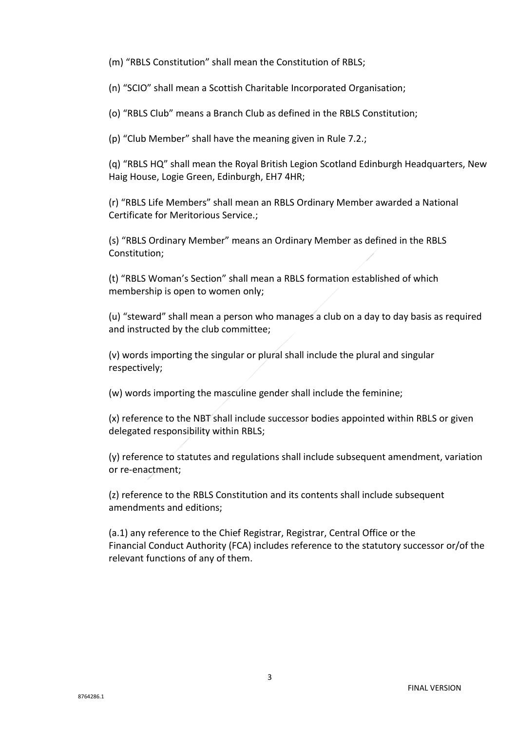(m) "RBLS Constitution" shall mean the Constitution of RBLS;

(n) "SCIO" shall mean a Scottish Charitable Incorporated Organisation;

(o) "RBLS Club" means a Branch Club as defined in the RBLS Constitution;

(p) "Club Member" shall have the meaning given in Rule 7.2.;

(q) "RBLS HQ" shall mean the Royal British Legion Scotland Edinburgh Headquarters, New Haig House, Logie Green, Edinburgh, EH7 4HR;

(r) "RBLS Life Members" shall mean an RBLS Ordinary Member awarded a National Certificate for Meritorious Service.;

(s) "RBLS Ordinary Member" means an Ordinary Member as defined in the RBLS Constitution;

(t) "RBLS Woman's Section" shall mean a RBLS formation established of which membership is open to women only;

(u) "steward" shall mean a person who manages a club on a day to day basis as required and instructed by the club committee;

(v) words importing the singular or plural shall include the plural and singular respectively;

(w) words importing the masculine gender shall include the feminine;

(x) reference to the NBT shall include successor bodies appointed within RBLS or given delegated responsibility within RBLS;

(y) reference to statutes and regulations shall include subsequent amendment, variation or re-enactment;

(z) reference to the RBLS Constitution and its contents shall include subsequent amendments and editions;

(a.1) any reference to the Chief Registrar, Registrar, Central Office or the Financial Conduct Authority (FCA) includes reference to the statutory successor or/of the relevant functions of any of them.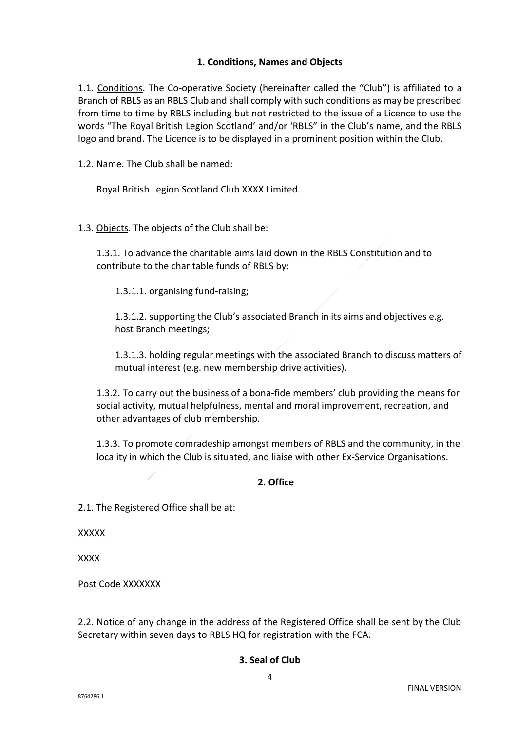# **1. Conditions, Names and Objects**

1.1. Conditions. The Co-operative Society (hereinafter called the "Club") is affiliated to a Branch of RBLS as an RBLS Club and shall comply with such conditions as may be prescribed from time to time by RBLS including but not restricted to the issue of a Licence to use the words "The Royal British Legion Scotland' and/or 'RBLS" in the Club's name, and the RBLS logo and brand. The Licence is to be displayed in a prominent position within the Club.

1.2. Name. The Club shall be named:

Royal British Legion Scotland Club XXXX Limited.

1.3. Objects. The objects of the Club shall be:

1.3.1. To advance the charitable aims laid down in the RBLS Constitution and to contribute to the charitable funds of RBLS by:

1.3.1.1. organising fund-raising;

1.3.1.2. supporting the Club's associated Branch in its aims and objectives e.g. host Branch meetings;

1.3.1.3. holding regular meetings with the associated Branch to discuss matters of mutual interest (e.g. new membership drive activities).

1.3.2. To carry out the business of a bona-fide members' club providing the means for social activity, mutual helpfulness, mental and moral improvement, recreation, and other advantages of club membership.

1.3.3. To promote comradeship amongst members of RBLS and the community, in the locality in which the Club is situated, and liaise with other Ex-Service Organisations.

#### **2. Office**

2.1. The Registered Office shall be at:

**XXXXX** 

**XXXX** 

Post Code XXXXXXX

2.2. Notice of any change in the address of the Registered Office shall be sent by the Club Secretary within seven days to RBLS HQ for registration with the FCA.

# **3. Seal of Club**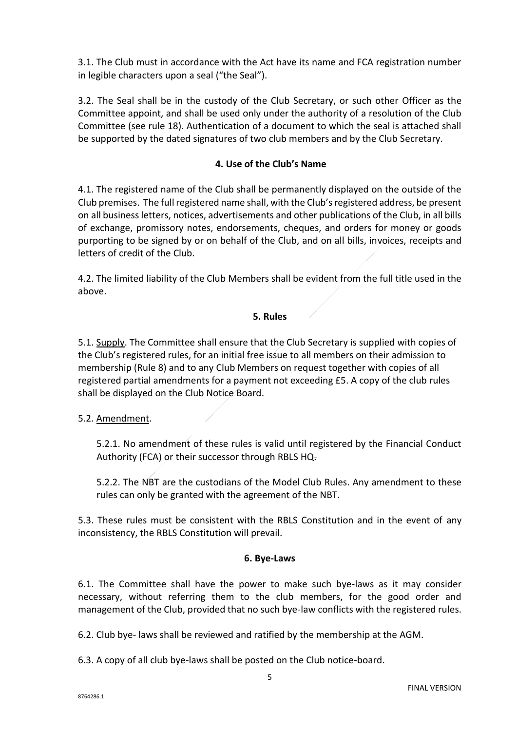3.1. The Club must in accordance with the Act have its name and FCA registration number in legible characters upon a seal ("the Seal").

3.2. The Seal shall be in the custody of the Club Secretary, or such other Officer as the Committee appoint, and shall be used only under the authority of a resolution of the Club Committee (see rule 18). Authentication of a document to which the seal is attached shall be supported by the dated signatures of two club members and by the Club Secretary.

## **4. Use of the Club's Name**

4.1. The registered name of the Club shall be permanently displayed on the outside of the Club premises. The full registered name shall, with the Club's registered address, be present on all business letters, notices, advertisements and other publications of the Club, in all bills of exchange, promissory notes, endorsements, cheques, and orders for money or goods purporting to be signed by or on behalf of the Club, and on all bills, invoices, receipts and letters of credit of the Club.

4.2. The limited liability of the Club Members shall be evident from the full title used in the above.

# **5. Rules**

5.1. Supply. The Committee shall ensure that the Club Secretary is supplied with copies of the Club's registered rules, for an initial free issue to all members on their admission to membership (Rule 8) and to any Club Members on request together with copies of all registered partial amendments for a payment not exceeding £5. A copy of the club rules shall be displayed on the Club Notice Board.

#### 5.2. Amendment.

5.2.1. No amendment of these rules is valid until registered by the Financial Conduct Authority (FCA) or their successor through RBLS HQ.

5.2.2. The NBT are the custodians of the Model Club Rules. Any amendment to these rules can only be granted with the agreement of the NBT.

5.3. These rules must be consistent with the RBLS Constitution and in the event of any inconsistency, the RBLS Constitution will prevail.

#### **6. Bye-Laws**

6.1. The Committee shall have the power to make such bye-laws as it may consider necessary, without referring them to the club members, for the good order and management of the Club, provided that no such bye-law conflicts with the registered rules.

6.2. Club bye- laws shall be reviewed and ratified by the membership at the AGM.

6.3. A copy of all club bye-laws shall be posted on the Club notice-board.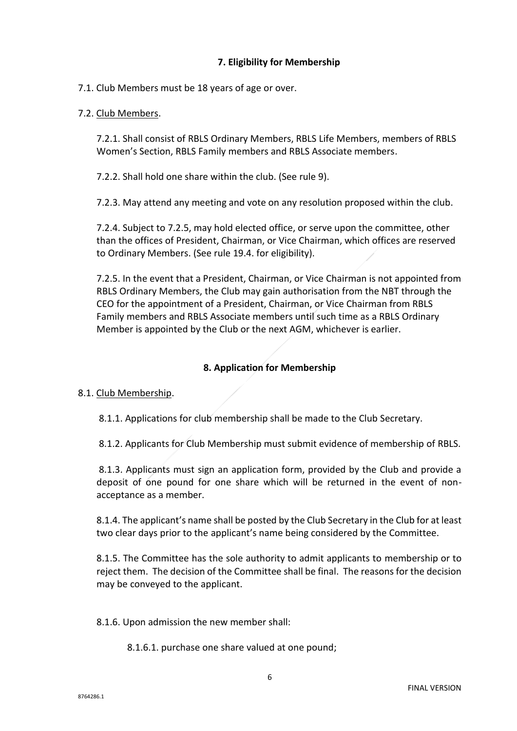# **7. Eligibility for Membership**

## 7.1. Club Members must be 18 years of age or over.

## 7.2. Club Members.

7.2.1. Shall consist of RBLS Ordinary Members, RBLS Life Members, members of RBLS Women's Section, RBLS Family members and RBLS Associate members.

7.2.2. Shall hold one share within the club. (See rule 9).

7.2.3. May attend any meeting and vote on any resolution proposed within the club.

7.2.4. Subject to 7.2.5, may hold elected office, or serve upon the committee, other than the offices of President, Chairman, or Vice Chairman, which offices are reserved to Ordinary Members. (See rule 19.4. for eligibility).

7.2.5. In the event that a President, Chairman, or Vice Chairman is not appointed from RBLS Ordinary Members, the Club may gain authorisation from the NBT through the CEO for the appointment of a President, Chairman, or Vice Chairman from RBLS Family members and RBLS Associate members until such time as a RBLS Ordinary Member is appointed by the Club or the next AGM, whichever is earlier.

# **8. Application for Membership**

# 8.1. Club Membership.

8.1.1. Applications for club membership shall be made to the Club Secretary.

8.1.2. Applicants for Club Membership must submit evidence of membership of RBLS.

8.1.3. Applicants must sign an application form, provided by the Club and provide a deposit of one pound for one share which will be returned in the event of nonacceptance as a member.

8.1.4. The applicant's name shall be posted by the Club Secretary in the Club for at least two clear days prior to the applicant's name being considered by the Committee.

8.1.5. The Committee has the sole authority to admit applicants to membership or to reject them. The decision of the Committee shall be final. The reasons for the decision may be conveyed to the applicant.

8.1.6. Upon admission the new member shall:

8.1.6.1. purchase one share valued at one pound;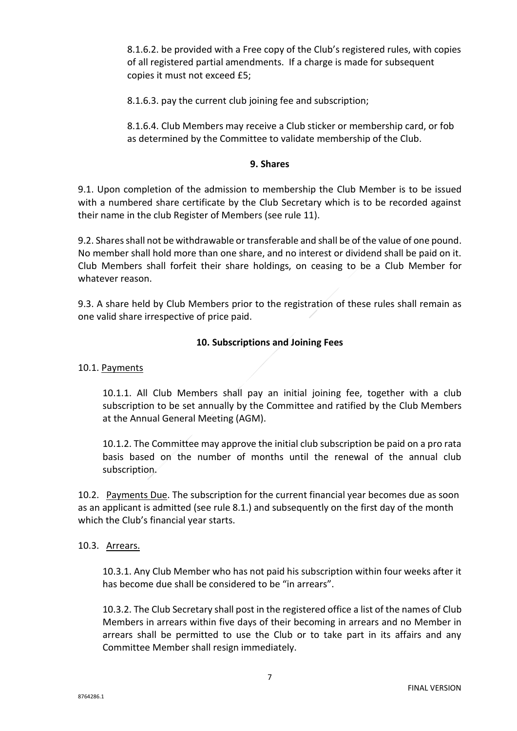8.1.6.2. be provided with a Free copy of the Club's registered rules, with copies of all registered partial amendments. If a charge is made for subsequent copies it must not exceed £5;

8.1.6.3. pay the current club joining fee and subscription;

8.1.6.4. Club Members may receive a Club sticker or membership card, or fob as determined by the Committee to validate membership of the Club.

#### **9. Shares**

9.1. Upon completion of the admission to membership the Club Member is to be issued with a numbered share certificate by the Club Secretary which is to be recorded against their name in the club Register of Members (see rule 11).

9.2. Shares shall not be withdrawable or transferable and shall be of the value of one pound. No member shall hold more than one share, and no interest or dividend shall be paid on it. Club Members shall forfeit their share holdings, on ceasing to be a Club Member for whatever reason.

9.3. A share held by Club Members prior to the registration of these rules shall remain as one valid share irrespective of price paid.

#### **10. Subscriptions and Joining Fees**

#### 10.1. Payments

10.1.1. All Club Members shall pay an initial joining fee, together with a club subscription to be set annually by the Committee and ratified by the Club Members at the Annual General Meeting (AGM).

10.1.2. The Committee may approve the initial club subscription be paid on a pro rata basis based on the number of months until the renewal of the annual club subscription.

10.2. Payments Due. The subscription for the current financial year becomes due as soon as an applicant is admitted (see rule 8.1.) and subsequently on the first day of the month which the Club's financial year starts.

#### 10.3. Arrears.

10.3.1. Any Club Member who has not paid his subscription within four weeks after it has become due shall be considered to be "in arrears".

10.3.2. The Club Secretary shall post in the registered office a list of the names of Club Members in arrears within five days of their becoming in arrears and no Member in arrears shall be permitted to use the Club or to take part in its affairs and any Committee Member shall resign immediately.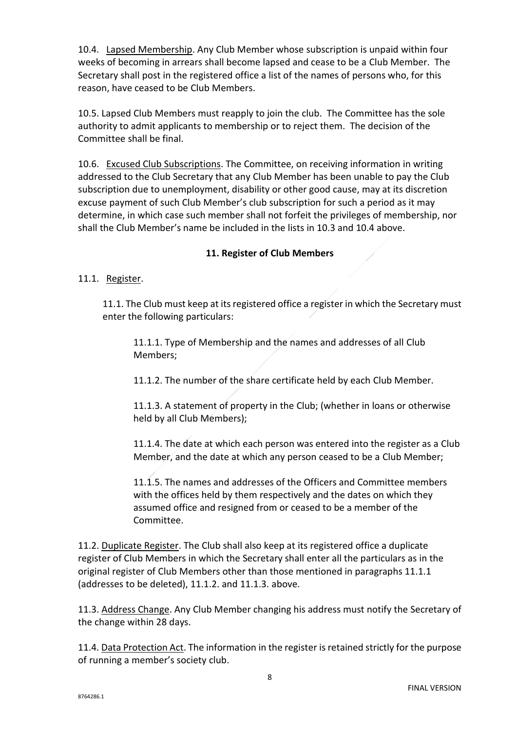10.4. Lapsed Membership. Any Club Member whose subscription is unpaid within four weeks of becoming in arrears shall become lapsed and cease to be a Club Member. The Secretary shall post in the registered office a list of the names of persons who, for this reason, have ceased to be Club Members.

10.5. Lapsed Club Members must reapply to join the club. The Committee has the sole authority to admit applicants to membership or to reject them. The decision of the Committee shall be final.

10.6. Excused Club Subscriptions. The Committee, on receiving information in writing addressed to the Club Secretary that any Club Member has been unable to pay the Club subscription due to unemployment, disability or other good cause, may at its discretion excuse payment of such Club Member's club subscription for such a period as it may determine, in which case such member shall not forfeit the privileges of membership, nor shall the Club Member's name be included in the lists in 10.3 and 10.4 above.

# **11. Register of Club Members**

# 11.1. Register.

11.1. The Club must keep at its registered office a register in which the Secretary must enter the following particulars:

11.1.1. Type of Membership and the names and addresses of all Club Members;

11.1.2. The number of the share certificate held by each Club Member.

11.1.3. A statement of property in the Club; (whether in loans or otherwise held by all Club Members);

11.1.4. The date at which each person was entered into the register as a Club Member, and the date at which any person ceased to be a Club Member;

11.1.5. The names and addresses of the Officers and Committee members with the offices held by them respectively and the dates on which they assumed office and resigned from or ceased to be a member of the Committee.

11.2. Duplicate Register. The Club shall also keep at its registered office a duplicate register of Club Members in which the Secretary shall enter all the particulars as in the original register of Club Members other than those mentioned in paragraphs 11.1.1 (addresses to be deleted), 11.1.2. and 11.1.3. above.

11.3. Address Change. Any Club Member changing his address must notify the Secretary of the change within 28 days.

11.4. Data Protection Act. The information in the register is retained strictly for the purpose of running a member's society club.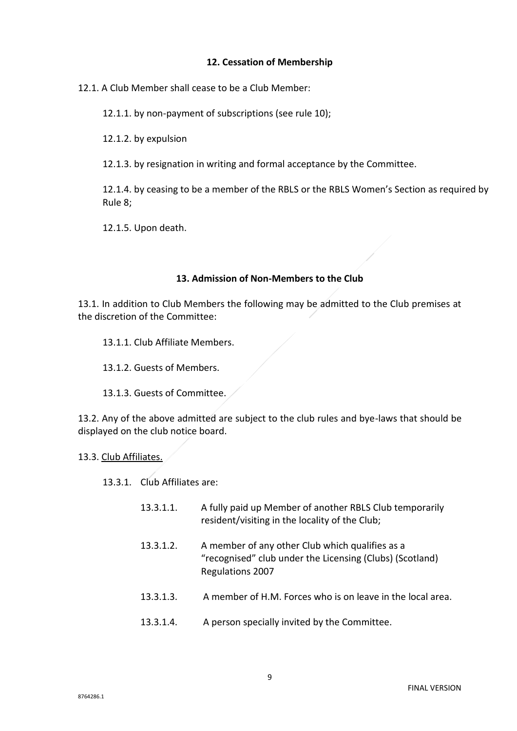#### **12. Cessation of Membership**

12.1. A Club Member shall cease to be a Club Member:

12.1.1. by non-payment of subscriptions (see rule 10);

12.1.2. by expulsion

12.1.3. by resignation in writing and formal acceptance by the Committee.

12.1.4. by ceasing to be a member of the RBLS or the RBLS Women's Section as required by Rule 8;

12.1.5. Upon death.

#### **13. Admission of Non-Members to the Club**

13.1. In addition to Club Members the following may be admitted to the Club premises at the discretion of the Committee:

13.1.1. Club Affiliate Members.

13.1.2. Guests of Members.

13.1.3. Guests of Committee.

13.2. Any of the above admitted are subject to the club rules and bye-laws that should be displayed on the club notice board.

#### 13.3. Club Affiliates.

13.3.1. Club Affiliates are:

| A fully paid up Member of another RBLS Club temporarily |
|---------------------------------------------------------|
| resident/visiting in the locality of the Club;          |
|                                                         |

- 13.3.1.2. A member of any other Club which qualifies as a "recognised" club under the Licensing (Clubs) (Scotland) Regulations 2007
- 13.3.1.3. A member of H.M. Forces who is on leave in the local area.
- 13.3.1.4. A person specially invited by the Committee.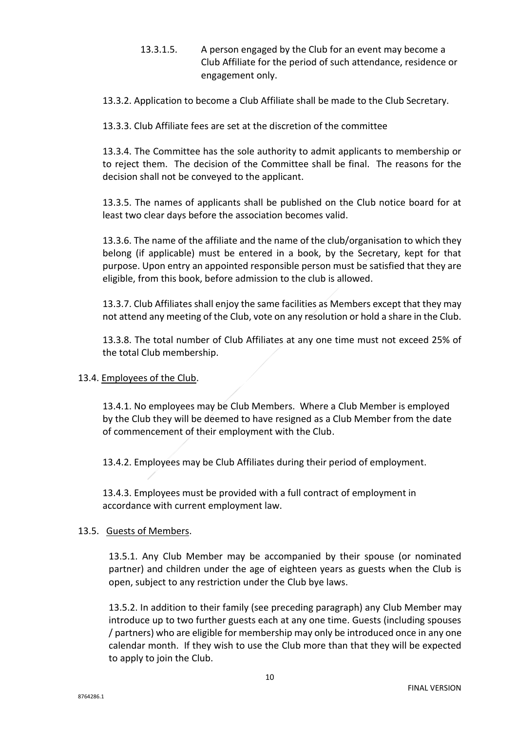13.3.1.5. A person engaged by the Club for an event may become a Club Affiliate for the period of such attendance, residence or engagement only.

13.3.2. Application to become a Club Affiliate shall be made to the Club Secretary.

13.3.3. Club Affiliate fees are set at the discretion of the committee

13.3.4. The Committee has the sole authority to admit applicants to membership or to reject them. The decision of the Committee shall be final. The reasons for the decision shall not be conveyed to the applicant.

13.3.5. The names of applicants shall be published on the Club notice board for at least two clear days before the association becomes valid.

13.3.6. The name of the affiliate and the name of the club/organisation to which they belong (if applicable) must be entered in a book, by the Secretary, kept for that purpose. Upon entry an appointed responsible person must be satisfied that they are eligible, from this book, before admission to the club is allowed.

13.3.7. Club Affiliates shall enjoy the same facilities as Members except that they may not attend any meeting of the Club, vote on any resolution or hold a share in the Club.

13.3.8. The total number of Club Affiliates at any one time must not exceed 25% of the total Club membership.

#### 13.4. Employees of the Club.

13.4.1. No employees may be Club Members. Where a Club Member is employed by the Club they will be deemed to have resigned as a Club Member from the date of commencement of their employment with the Club.

13.4.2. Employees may be Club Affiliates during their period of employment.

13.4.3. Employees must be provided with a full contract of employment in accordance with current employment law.

#### 13.5. Guests of Members.

13.5.1. Any Club Member may be accompanied by their spouse (or nominated partner) and children under the age of eighteen years as guests when the Club is open, subject to any restriction under the Club bye laws.

13.5.2. In addition to their family (see preceding paragraph) any Club Member may introduce up to two further guests each at any one time. Guests (including spouses / partners) who are eligible for membership may only be introduced once in any one calendar month. If they wish to use the Club more than that they will be expected to apply to join the Club.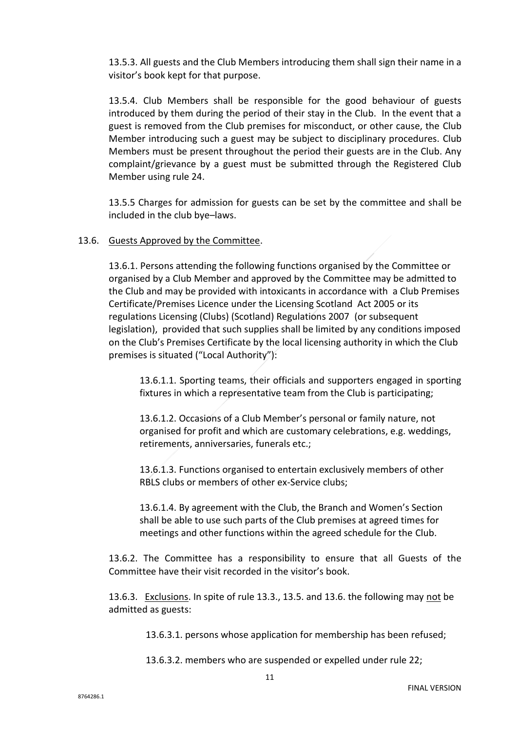13.5.3. All guests and the Club Members introducing them shall sign their name in a visitor's book kept for that purpose.

13.5.4. Club Members shall be responsible for the good behaviour of guests introduced by them during the period of their stay in the Club. In the event that a guest is removed from the Club premises for misconduct, or other cause, the Club Member introducing such a guest may be subject to disciplinary procedures. Club Members must be present throughout the period their guests are in the Club. Any complaint/grievance by a guest must be submitted through the Registered Club Member using rule 24.

13.5.5 Charges for admission for guests can be set by the committee and shall be included in the club bye–laws.

#### 13.6. Guests Approved by the Committee.

13.6.1. Persons attending the following functions organised by the Committee or organised by a Club Member and approved by the Committee may be admitted to the Club and may be provided with intoxicants in accordance with a Club Premises Certificate/Premises Licence under the Licensing Scotland Act 2005 or its regulations Licensing (Clubs) (Scotland) Regulations 2007 (or subsequent legislation), provided that such supplies shall be limited by any conditions imposed on the Club's Premises Certificate by the local licensing authority in which the Club premises is situated ("Local Authority"):

13.6.1.1. Sporting teams, their officials and supporters engaged in sporting fixtures in which a representative team from the Club is participating;

13.6.1.2. Occasions of a Club Member's personal or family nature, not organised for profit and which are customary celebrations, e.g. weddings, retirements, anniversaries, funerals etc.;

13.6.1.3. Functions organised to entertain exclusively members of other RBLS clubs or members of other ex-Service clubs;

13.6.1.4. By agreement with the Club, the Branch and Women's Section shall be able to use such parts of the Club premises at agreed times for meetings and other functions within the agreed schedule for the Club.

13.6.2. The Committee has a responsibility to ensure that all Guests of the Committee have their visit recorded in the visitor's book.

13.6.3. Exclusions. In spite of rule 13.3., 13.5. and 13.6. the following may not be admitted as guests:

13.6.3.1. persons whose application for membership has been refused;

13.6.3.2. members who are suspended or expelled under rule 22;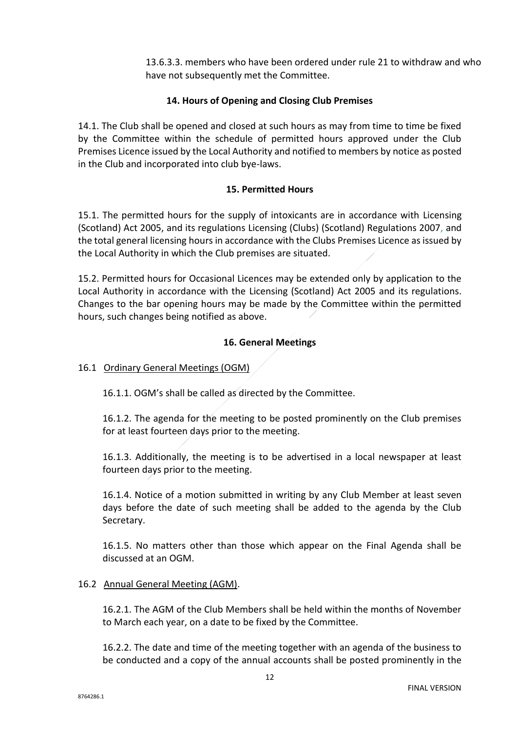13.6.3.3. members who have been ordered under rule 21 to withdraw and who have not subsequently met the Committee.

## **14. Hours of Opening and Closing Club Premises**

14.1. The Club shall be opened and closed at such hours as may from time to time be fixed by the Committee within the schedule of permitted hours approved under the Club Premises Licence issued by the Local Authority and notified to members by notice as posted in the Club and incorporated into club bye-laws.

#### **15. Permitted Hours**

15.1. The permitted hours for the supply of intoxicants are in accordance with Licensing (Scotland) Act 2005, and its regulations Licensing (Clubs) (Scotland) Regulations 2007, and the total general licensing hours in accordance with the Clubs Premises Licence as issued by the Local Authority in which the Club premises are situated.

15.2. Permitted hours for Occasional Licences may be extended only by application to the Local Authority in accordance with the Licensing (Scotland) Act 2005 and its regulations. Changes to the bar opening hours may be made by the Committee within the permitted hours, such changes being notified as above.

# **16. General Meetings**

#### 16.1 Ordinary General Meetings (OGM)

16.1.1. OGM's shall be called as directed by the Committee.

16.1.2. The agenda for the meeting to be posted prominently on the Club premises for at least fourteen days prior to the meeting.

16.1.3. Additionally, the meeting is to be advertised in a local newspaper at least fourteen days prior to the meeting.

16.1.4. Notice of a motion submitted in writing by any Club Member at least seven days before the date of such meeting shall be added to the agenda by the Club Secretary.

16.1.5. No matters other than those which appear on the Final Agenda shall be discussed at an OGM.

#### 16.2 Annual General Meeting (AGM).

16.2.1. The AGM of the Club Members shall be held within the months of November to March each year, on a date to be fixed by the Committee.

16.2.2. The date and time of the meeting together with an agenda of the business to be conducted and a copy of the annual accounts shall be posted prominently in the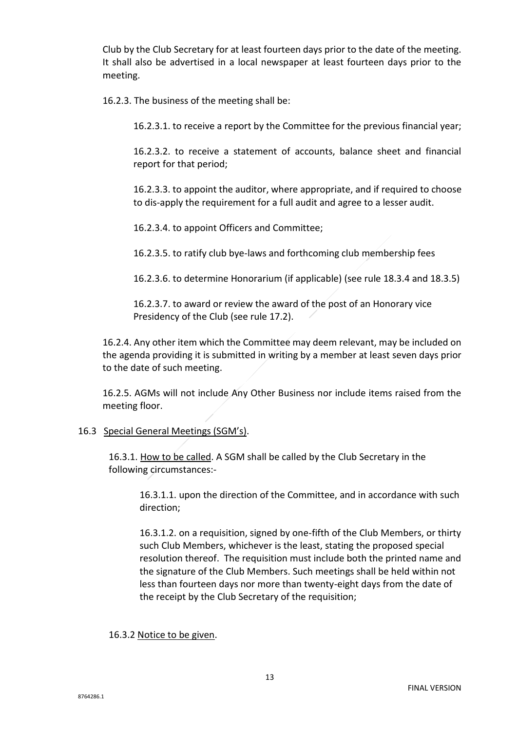Club by the Club Secretary for at least fourteen days prior to the date of the meeting. It shall also be advertised in a local newspaper at least fourteen days prior to the meeting.

16.2.3. The business of the meeting shall be:

16.2.3.1. to receive a report by the Committee for the previous financial year;

16.2.3.2. to receive a statement of accounts, balance sheet and financial report for that period;

16.2.3.3. to appoint the auditor, where appropriate, and if required to choose to dis-apply the requirement for a full audit and agree to a lesser audit.

16.2.3.4. to appoint Officers and Committee;

16.2.3.5. to ratify club bye-laws and forthcoming club membership fees

16.2.3.6. to determine Honorarium (if applicable) (see rule 18.3.4 and 18.3.5)

16.2.3.7. to award or review the award of the post of an Honorary vice Presidency of the Club (see rule 17.2).

16.2.4. Any other item which the Committee may deem relevant, may be included on the agenda providing it is submitted in writing by a member at least seven days prior to the date of such meeting.

16.2.5. AGMs will not include Any Other Business nor include items raised from the meeting floor.

#### 16.3 Special General Meetings (SGM's).

16.3.1. How to be called. A SGM shall be called by the Club Secretary in the following circumstances:-

16.3.1.1. upon the direction of the Committee, and in accordance with such direction;

16.3.1.2. on a requisition, signed by one-fifth of the Club Members, or thirty such Club Members, whichever is the least, stating the proposed special resolution thereof. The requisition must include both the printed name and the signature of the Club Members. Such meetings shall be held within not less than fourteen days nor more than twenty-eight days from the date of the receipt by the Club Secretary of the requisition;

16.3.2 Notice to be given.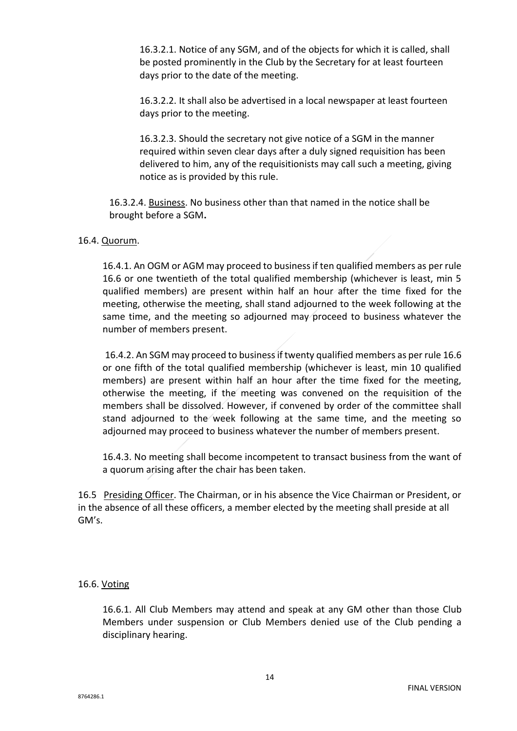16.3.2.1. Notice of any SGM, and of the objects for which it is called, shall be posted prominently in the Club by the Secretary for at least fourteen days prior to the date of the meeting.

16.3.2.2. It shall also be advertised in a local newspaper at least fourteen days prior to the meeting.

16.3.2.3. Should the secretary not give notice of a SGM in the manner required within seven clear days after a duly signed requisition has been delivered to him, any of the requisitionists may call such a meeting, giving notice as is provided by this rule.

16.3.2.4. Business. No business other than that named in the notice shall be brought before a SGM**.**

# 16.4. Quorum.

16.4.1. An OGM or AGM may proceed to business if ten qualified members as per rule 16.6 or one twentieth of the total qualified membership (whichever is least, min 5 qualified members) are present within half an hour after the time fixed for the meeting, otherwise the meeting, shall stand adjourned to the week following at the same time, and the meeting so adjourned may proceed to business whatever the number of members present.

16.4.2. An SGM may proceed to business if twenty qualified members as per rule 16.6 or one fifth of the total qualified membership (whichever is least, min 10 qualified members) are present within half an hour after the time fixed for the meeting, otherwise the meeting, if the meeting was convened on the requisition of the members shall be dissolved. However, if convened by order of the committee shall stand adjourned to the week following at the same time, and the meeting so adjourned may proceed to business whatever the number of members present.

16.4.3. No meeting shall become incompetent to transact business from the want of a quorum arising after the chair has been taken.

16.5 Presiding Officer. The Chairman, or in his absence the Vice Chairman or President, or in the absence of all these officers, a member elected by the meeting shall preside at all GM's.

# 16.6. Voting

16.6.1. All Club Members may attend and speak at any GM other than those Club Members under suspension or Club Members denied use of the Club pending a disciplinary hearing.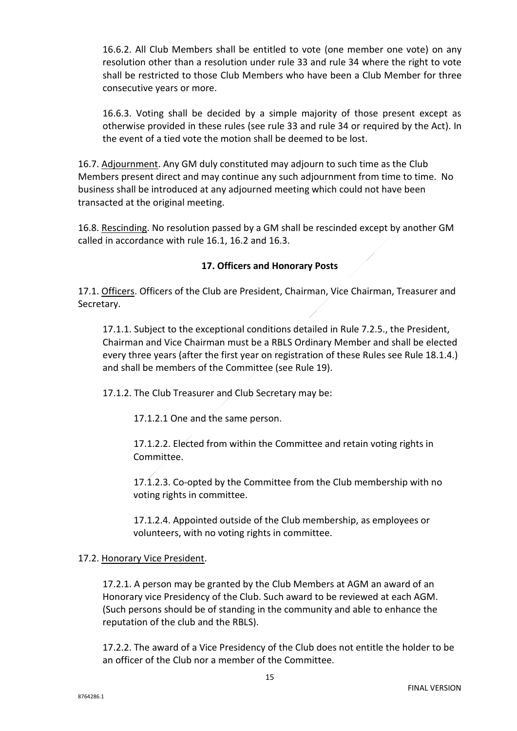16.6.2. All Club Members shall be entitled to vote (one member one vote) on any resolution other than a resolution under rule 33 and rule 34 where the right to vote shall be restricted to those Club Members who have been a Club Member for three consecutive years or more.

16.6.3. Voting shall be decided by a simple majority of those present except as otherwise provided in these rules (see rule 33 and rule 34 or required by the Act). In the event of a tied vote the motion shall be deemed to be lost.

16.7. Adjournment. Any GM duly constituted may adjourn to such time as the Club Members present direct and may continue any such adjournment from time to time. No business shall be introduced at any adjourned meeting which could not have been transacted at the original meeting.

16.8. Rescinding. No resolution passed by a GM shall be rescinded except by another GM called in accordance with rule 16.1, 16.2 and 16.3.

# **17. Officers and Honorary Posts**

17.1. Officers. Officers of the Club are President, Chairman, Vice Chairman, Treasurer and Secretary.

17.1.1. Subject to the exceptional conditions detailed in Rule 7.2.5., the President, Chairman and Vice Chairman must be a RBLS Ordinary Member and shall be elected every three years (after the first year on registration of these Rules see Rule 18.1.4.) and shall be members of the Committee (see Rule 19).

17.1.2. The Club Treasurer and Club Secretary may be:

17.1.2.1 One and the same person.

17.1.2.2. Elected from within the Committee and retain voting rights in Committee.

17.1.2.3. Co-opted by the Committee from the Club membership with no voting rights in committee.

17.1.2.4. Appointed outside of the Club membership, as employees or volunteers, with no voting rights in committee.

# 17.2. Honorary Vice President.

17.2.1. A person may be granted by the Club Members at AGM an award of an Honorary vice Presidency of the Club. Such award to be reviewed at each AGM. (Such persons should be of standing in the community and able to enhance the reputation of the club and the RBLS).

17.2.2. The award of a Vice Presidency of the Club does not entitle the holder to be an officer of the Club nor a member of the Committee.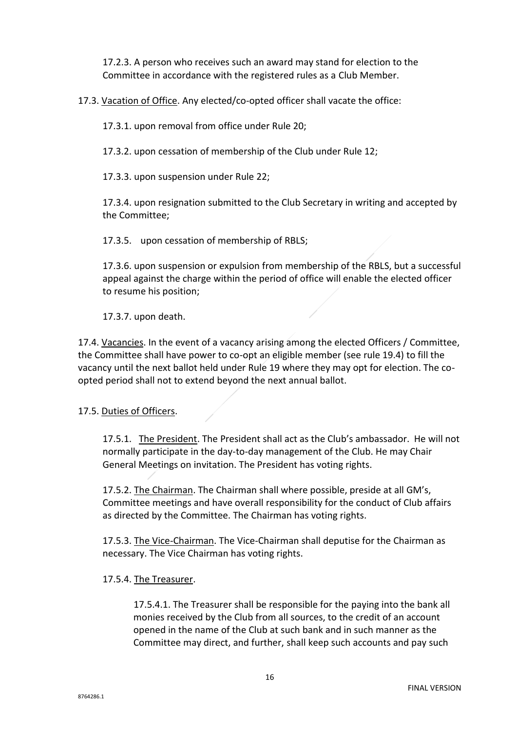17.2.3. A person who receives such an award may stand for election to the Committee in accordance with the registered rules as a Club Member.

17.3. Vacation of Office. Any elected/co-opted officer shall vacate the office:

17.3.1. upon removal from office under Rule 20;

17.3.2. upon cessation of membership of the Club under Rule 12;

17.3.3. upon suspension under Rule 22;

17.3.4. upon resignation submitted to the Club Secretary in writing and accepted by the Committee;

17.3.5. upon cessation of membership of RBLS;

17.3.6. upon suspension or expulsion from membership of the RBLS, but a successful appeal against the charge within the period of office will enable the elected officer to resume his position;

17.3.7. upon death.

17.4. Vacancies. In the event of a vacancy arising among the elected Officers / Committee, the Committee shall have power to co-opt an eligible member (see rule 19.4) to fill the vacancy until the next ballot held under Rule 19 where they may opt for election. The coopted period shall not to extend beyond the next annual ballot.

#### 17.5. Duties of Officers.

17.5.1. The President. The President shall act as the Club's ambassador. He will not normally participate in the day-to-day management of the Club. He may Chair General Meetings on invitation. The President has voting rights.

17.5.2. The Chairman. The Chairman shall where possible, preside at all GM's, Committee meetings and have overall responsibility for the conduct of Club affairs as directed by the Committee. The Chairman has voting rights.

17.5.3. The Vice-Chairman. The Vice-Chairman shall deputise for the Chairman as necessary. The Vice Chairman has voting rights.

#### 17.5.4. The Treasurer.

17.5.4.1. The Treasurer shall be responsible for the paying into the bank all monies received by the Club from all sources, to the credit of an account opened in the name of the Club at such bank and in such manner as the Committee may direct, and further, shall keep such accounts and pay such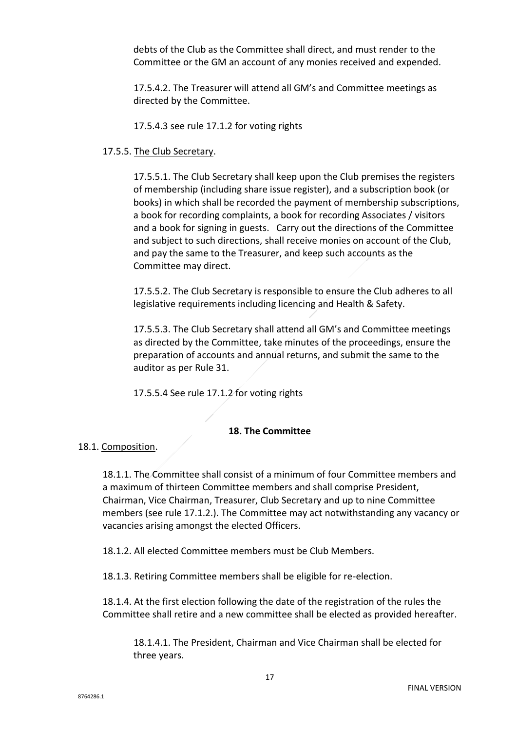debts of the Club as the Committee shall direct, and must render to the Committee or the GM an account of any monies received and expended.

17.5.4.2. The Treasurer will attend all GM's and Committee meetings as directed by the Committee.

17.5.4.3 see rule 17.1.2 for voting rights

# 17.5.5. The Club Secretary.

17.5.5.1. The Club Secretary shall keep upon the Club premises the registers of membership (including share issue register), and a subscription book (or books) in which shall be recorded the payment of membership subscriptions, a book for recording complaints, a book for recording Associates / visitors and a book for signing in guests. Carry out the directions of the Committee and subject to such directions, shall receive monies on account of the Club, and pay the same to the Treasurer, and keep such accounts as the Committee may direct.

17.5.5.2. The Club Secretary is responsible to ensure the Club adheres to all legislative requirements including licencing and Health & Safety.

17.5.5.3. The Club Secretary shall attend all GM's and Committee meetings as directed by the Committee, take minutes of the proceedings, ensure the preparation of accounts and annual returns, and submit the same to the auditor as per Rule 31.

17.5.5.4 See rule 17.1.2 for voting rights

# **18. The Committee**

# 18.1. Composition.

18.1.1. The Committee shall consist of a minimum of four Committee members and a maximum of thirteen Committee members and shall comprise President, Chairman, Vice Chairman, Treasurer, Club Secretary and up to nine Committee members (see rule 17.1.2.). The Committee may act notwithstanding any vacancy or vacancies arising amongst the elected Officers.

18.1.2. All elected Committee members must be Club Members.

18.1.3. Retiring Committee members shall be eligible for re-election.

18.1.4. At the first election following the date of the registration of the rules the Committee shall retire and a new committee shall be elected as provided hereafter.

18.1.4.1. The President, Chairman and Vice Chairman shall be elected for three years.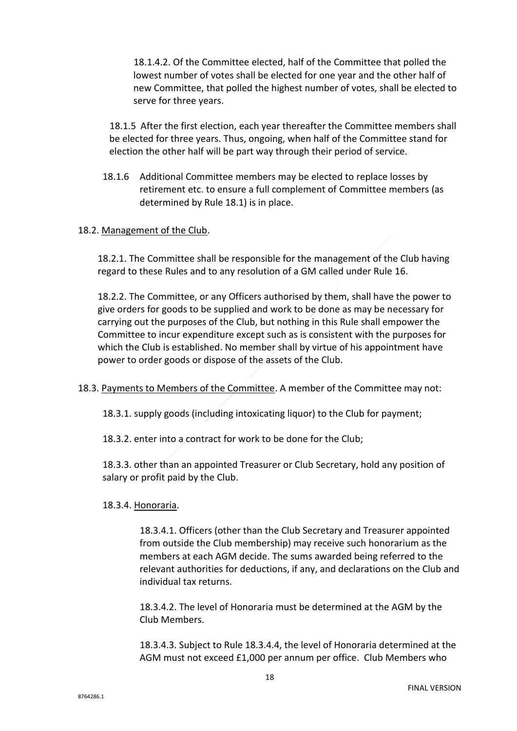18.1.4.2. Of the Committee elected, half of the Committee that polled the lowest number of votes shall be elected for one year and the other half of new Committee, that polled the highest number of votes, shall be elected to serve for three years.

18.1.5 After the first election, each year thereafter the Committee members shall be elected for three years. Thus, ongoing, when half of the Committee stand for election the other half will be part way through their period of service.

18.1.6 Additional Committee members may be elected to replace losses by retirement etc. to ensure a full complement of Committee members (as determined by Rule 18.1) is in place.

#### 18.2. Management of the Club.

18.2.1. The Committee shall be responsible for the management of the Club having regard to these Rules and to any resolution of a GM called under Rule 16.

18.2.2. The Committee, or any Officers authorised by them, shall have the power to give orders for goods to be supplied and work to be done as may be necessary for carrying out the purposes of the Club, but nothing in this Rule shall empower the Committee to incur expenditure except such as is consistent with the purposes for which the Club is established. No member shall by virtue of his appointment have power to order goods or dispose of the assets of the Club.

18.3. Payments to Members of the Committee. A member of the Committee may not:

18.3.1. supply goods (including intoxicating liquor) to the Club for payment;

18.3.2. enter into a contract for work to be done for the Club;

18.3.3. other than an appointed Treasurer or Club Secretary, hold any position of salary or profit paid by the Club.

#### 18.3.4. Honoraria.

18.3.4.1. Officers (other than the Club Secretary and Treasurer appointed from outside the Club membership) may receive such honorarium as the members at each AGM decide. The sums awarded being referred to the relevant authorities for deductions, if any, and declarations on the Club and individual tax returns.

18.3.4.2. The level of Honoraria must be determined at the AGM by the Club Members.

18.3.4.3. Subject to Rule 18.3.4.4, the level of Honoraria determined at the AGM must not exceed £1,000 per annum per office. Club Members who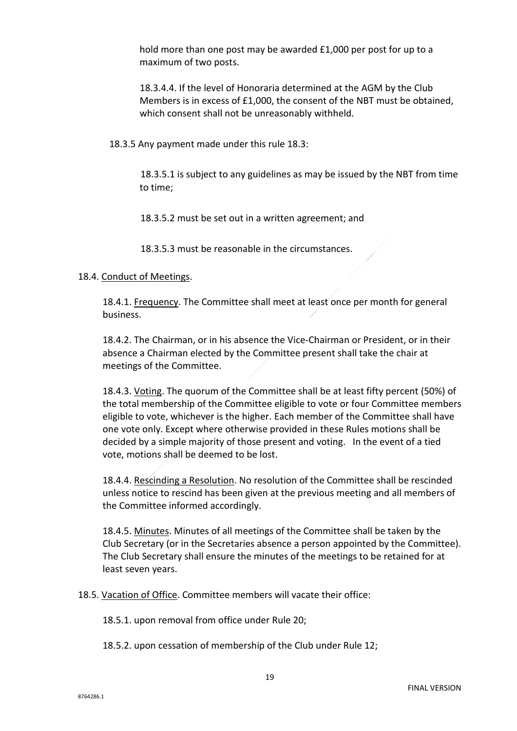hold more than one post may be awarded £1,000 per post for up to a maximum of two posts.

18.3.4.4. If the level of Honoraria determined at the AGM by the Club Members is in excess of £1,000, the consent of the NBT must be obtained, which consent shall not be unreasonably withheld.

18.3.5 Any payment made under this rule 18.3:

18.3.5.1 is subject to any guidelines as may be issued by the NBT from time to time;

18.3.5.2 must be set out in a written agreement; and

18.3.5.3 must be reasonable in the circumstances.

#### 18.4. Conduct of Meetings.

18.4.1. Frequency. The Committee shall meet at least once per month for general business.

18.4.2. The Chairman, or in his absence the Vice-Chairman or President, or in their absence a Chairman elected by the Committee present shall take the chair at meetings of the Committee.

18.4.3. Voting. The quorum of the Committee shall be at least fifty percent (50%) of the total membership of the Committee eligible to vote or four Committee members eligible to vote, whichever is the higher. Each member of the Committee shall have one vote only. Except where otherwise provided in these Rules motions shall be decided by a simple majority of those present and voting. In the event of a tied vote, motions shall be deemed to be lost.

18.4.4. Rescinding a Resolution. No resolution of the Committee shall be rescinded unless notice to rescind has been given at the previous meeting and all members of the Committee informed accordingly.

18.4.5. Minutes. Minutes of all meetings of the Committee shall be taken by the Club Secretary (or in the Secretaries absence a person appointed by the Committee). The Club Secretary shall ensure the minutes of the meetings to be retained for at least seven years.

18.5. Vacation of Office. Committee members will vacate their office:

18.5.1. upon removal from office under Rule 20;

18.5.2. upon cessation of membership of the Club under Rule 12;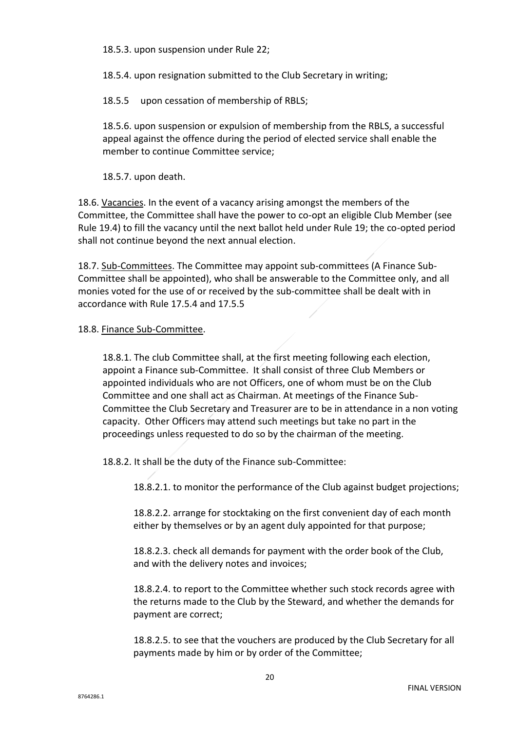18.5.3. upon suspension under Rule 22;

18.5.4. upon resignation submitted to the Club Secretary in writing;

18.5.5 upon cessation of membership of RBLS;

18.5.6. upon suspension or expulsion of membership from the RBLS, a successful appeal against the offence during the period of elected service shall enable the member to continue Committee service;

18.5.7. upon death.

18.6. Vacancies. In the event of a vacancy arising amongst the members of the Committee, the Committee shall have the power to co-opt an eligible Club Member (see Rule 19.4) to fill the vacancy until the next ballot held under Rule 19; the co-opted period shall not continue beyond the next annual election.

18.7. Sub-Committees. The Committee may appoint sub-committees (A Finance Sub-Committee shall be appointed), who shall be answerable to the Committee only, and all monies voted for the use of or received by the sub-committee shall be dealt with in accordance with Rule 17.5.4 and 17.5.5

#### 18.8. Finance Sub-Committee.

18.8.1. The club Committee shall, at the first meeting following each election, appoint a Finance sub-Committee. It shall consist of three Club Members or appointed individuals who are not Officers, one of whom must be on the Club Committee and one shall act as Chairman. At meetings of the Finance Sub-Committee the Club Secretary and Treasurer are to be in attendance in a non voting capacity. Other Officers may attend such meetings but take no part in the proceedings unless requested to do so by the chairman of the meeting.

18.8.2. It shall be the duty of the Finance sub-Committee:

18.8.2.1. to monitor the performance of the Club against budget projections;

18.8.2.2. arrange for stocktaking on the first convenient day of each month either by themselves or by an agent duly appointed for that purpose;

18.8.2.3. check all demands for payment with the order book of the Club, and with the delivery notes and invoices;

18.8.2.4. to report to the Committee whether such stock records agree with the returns made to the Club by the Steward, and whether the demands for payment are correct;

18.8.2.5. to see that the vouchers are produced by the Club Secretary for all payments made by him or by order of the Committee;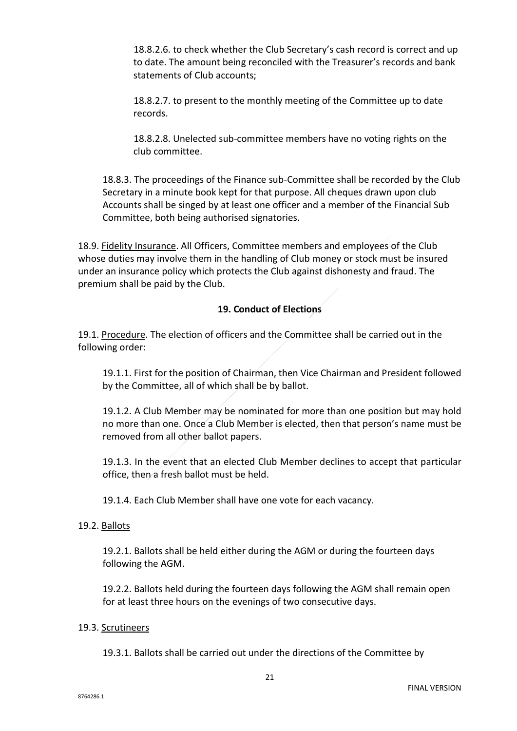18.8.2.6. to check whether the Club Secretary's cash record is correct and up to date. The amount being reconciled with the Treasurer's records and bank statements of Club accounts;

18.8.2.7. to present to the monthly meeting of the Committee up to date records.

18.8.2.8. Unelected sub-committee members have no voting rights on the club committee.

18.8.3. The proceedings of the Finance sub-Committee shall be recorded by the Club Secretary in a minute book kept for that purpose. All cheques drawn upon club Accounts shall be singed by at least one officer and a member of the Financial Sub Committee, both being authorised signatories.

18.9. Fidelity Insurance. All Officers, Committee members and employees of the Club whose duties may involve them in the handling of Club money or stock must be insured under an insurance policy which protects the Club against dishonesty and fraud. The premium shall be paid by the Club.

# **19. Conduct of Elections**

19.1. Procedure. The election of officers and the Committee shall be carried out in the following order:

19.1.1. First for the position of Chairman, then Vice Chairman and President followed by the Committee, all of which shall be by ballot.

19.1.2. A Club Member may be nominated for more than one position but may hold no more than one. Once a Club Member is elected, then that person's name must be removed from all other ballot papers.

19.1.3. In the event that an elected Club Member declines to accept that particular office, then a fresh ballot must be held.

19.1.4. Each Club Member shall have one vote for each vacancy.

# 19.2. Ballots

19.2.1. Ballots shall be held either during the AGM or during the fourteen days following the AGM.

19.2.2. Ballots held during the fourteen days following the AGM shall remain open for at least three hours on the evenings of two consecutive days.

#### 19.3. Scrutineers

19.3.1. Ballots shall be carried out under the directions of the Committee by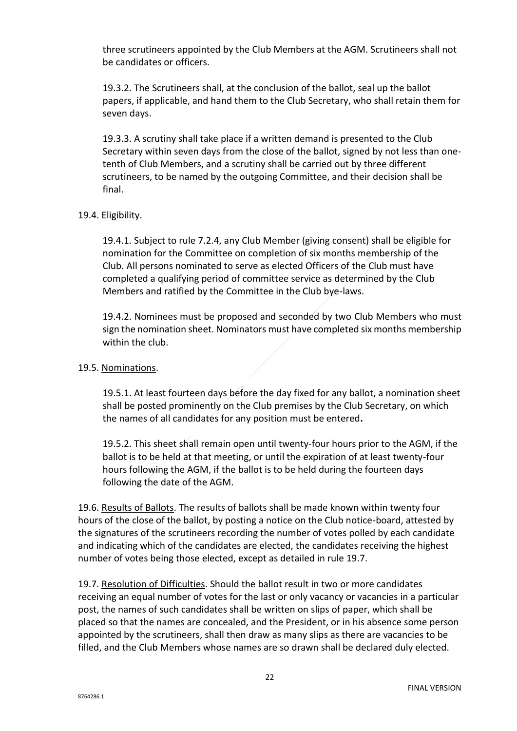three scrutineers appointed by the Club Members at the AGM. Scrutineers shall not be candidates or officers.

19.3.2. The Scrutineers shall, at the conclusion of the ballot, seal up the ballot papers, if applicable, and hand them to the Club Secretary, who shall retain them for seven days.

19.3.3. A scrutiny shall take place if a written demand is presented to the Club Secretary within seven days from the close of the ballot, signed by not less than onetenth of Club Members, and a scrutiny shall be carried out by three different scrutineers, to be named by the outgoing Committee, and their decision shall be final.

# 19.4. Eligibility.

19.4.1. Subject to rule 7.2.4, any Club Member (giving consent) shall be eligible for nomination for the Committee on completion of six months membership of the Club. All persons nominated to serve as elected Officers of the Club must have completed a qualifying period of committee service as determined by the Club Members and ratified by the Committee in the Club bye-laws.

19.4.2. Nominees must be proposed and seconded by two Club Members who must sign the nomination sheet. Nominators must have completed six months membership within the club.

## 19.5. Nominations.

19.5.1. At least fourteen days before the day fixed for any ballot, a nomination sheet shall be posted prominently on the Club premises by the Club Secretary, on which the names of all candidates for any position must be entered**.** 

19.5.2. This sheet shall remain open until twenty-four hours prior to the AGM, if the ballot is to be held at that meeting, or until the expiration of at least twenty-four hours following the AGM, if the ballot is to be held during the fourteen days following the date of the AGM.

19.6. Results of Ballots. The results of ballots shall be made known within twenty four hours of the close of the ballot, by posting a notice on the Club notice-board, attested by the signatures of the scrutineers recording the number of votes polled by each candidate and indicating which of the candidates are elected, the candidates receiving the highest number of votes being those elected, except as detailed in rule 19.7.

19.7. Resolution of Difficulties. Should the ballot result in two or more candidates receiving an equal number of votes for the last or only vacancy or vacancies in a particular post, the names of such candidates shall be written on slips of paper, which shall be placed so that the names are concealed, and the President, or in his absence some person appointed by the scrutineers, shall then draw as many slips as there are vacancies to be filled, and the Club Members whose names are so drawn shall be declared duly elected.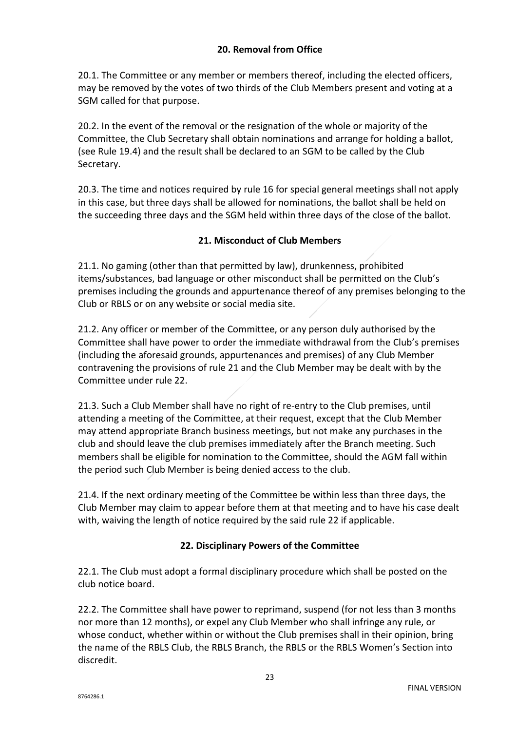# **20. Removal from Office**

20.1. The Committee or any member or members thereof, including the elected officers, may be removed by the votes of two thirds of the Club Members present and voting at a SGM called for that purpose.

20.2. In the event of the removal or the resignation of the whole or majority of the Committee, the Club Secretary shall obtain nominations and arrange for holding a ballot, (see Rule 19.4) and the result shall be declared to an SGM to be called by the Club Secretary.

20.3. The time and notices required by rule 16 for special general meetings shall not apply in this case, but three days shall be allowed for nominations, the ballot shall be held on the succeeding three days and the SGM held within three days of the close of the ballot.

# **21. Misconduct of Club Members**

21.1. No gaming (other than that permitted by law), drunkenness, prohibited items/substances, bad language or other misconduct shall be permitted on the Club's premises including the grounds and appurtenance thereof of any premises belonging to the Club or RBLS or on any website or social media site.

21.2. Any officer or member of the Committee, or any person duly authorised by the Committee shall have power to order the immediate withdrawal from the Club's premises (including the aforesaid grounds, appurtenances and premises) of any Club Member contravening the provisions of rule 21 and the Club Member may be dealt with by the Committee under rule 22.

21.3. Such a Club Member shall have no right of re-entry to the Club premises, until attending a meeting of the Committee, at their request, except that the Club Member may attend appropriate Branch business meetings, but not make any purchases in the club and should leave the club premises immediately after the Branch meeting. Such members shall be eligible for nomination to the Committee, should the AGM fall within the period such Club Member is being denied access to the club.

21.4. If the next ordinary meeting of the Committee be within less than three days, the Club Member may claim to appear before them at that meeting and to have his case dealt with, waiving the length of notice required by the said rule 22 if applicable.

# **22. Disciplinary Powers of the Committee**

22.1. The Club must adopt a formal disciplinary procedure which shall be posted on the club notice board.

22.2. The Committee shall have power to reprimand, suspend (for not less than 3 months nor more than 12 months), or expel any Club Member who shall infringe any rule, or whose conduct, whether within or without the Club premises shall in their opinion, bring the name of the RBLS Club, the RBLS Branch, the RBLS or the RBLS Women's Section into discredit.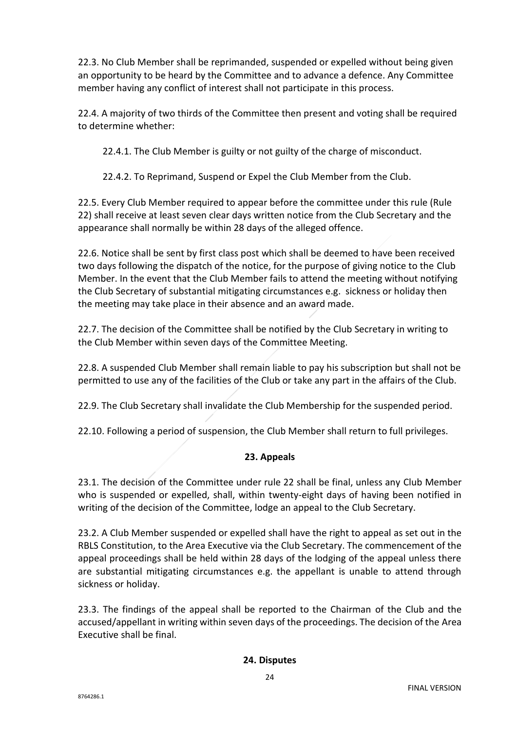22.3. No Club Member shall be reprimanded, suspended or expelled without being given an opportunity to be heard by the Committee and to advance a defence. Any Committee member having any conflict of interest shall not participate in this process.

22.4. A majority of two thirds of the Committee then present and voting shall be required to determine whether:

22.4.1. The Club Member is guilty or not guilty of the charge of misconduct.

22.4.2. To Reprimand, Suspend or Expel the Club Member from the Club.

22.5. Every Club Member required to appear before the committee under this rule (Rule 22) shall receive at least seven clear days written notice from the Club Secretary and the appearance shall normally be within 28 days of the alleged offence.

22.6. Notice shall be sent by first class post which shall be deemed to have been received two days following the dispatch of the notice, for the purpose of giving notice to the Club Member. In the event that the Club Member fails to attend the meeting without notifying the Club Secretary of substantial mitigating circumstances e.g. sickness or holiday then the meeting may take place in their absence and an award made.

22.7. The decision of the Committee shall be notified by the Club Secretary in writing to the Club Member within seven days of the Committee Meeting.

22.8. A suspended Club Member shall remain liable to pay his subscription but shall not be permitted to use any of the facilities of the Club or take any part in the affairs of the Club.

22.9. The Club Secretary shall invalidate the Club Membership for the suspended period.

22.10. Following a period of suspension, the Club Member shall return to full privileges.

# **23. Appeals**

23.1. The decision of the Committee under rule 22 shall be final, unless any Club Member who is suspended or expelled, shall, within twenty-eight days of having been notified in writing of the decision of the Committee, lodge an appeal to the Club Secretary.

23.2. A Club Member suspended or expelled shall have the right to appeal as set out in the RBLS Constitution, to the Area Executive via the Club Secretary. The commencement of the appeal proceedings shall be held within 28 days of the lodging of the appeal unless there are substantial mitigating circumstances e.g. the appellant is unable to attend through sickness or holiday.

23.3. The findings of the appeal shall be reported to the Chairman of the Club and the accused/appellant in writing within seven days of the proceedings. The decision of the Area Executive shall be final.

# **24. Disputes**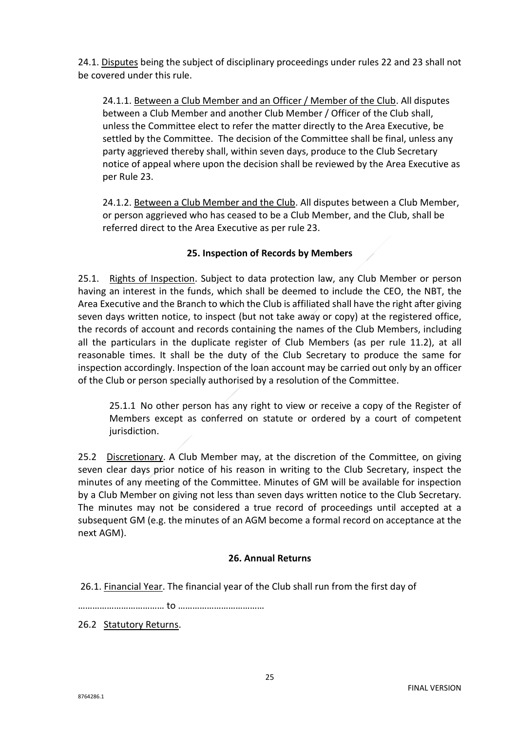24.1. Disputes being the subject of disciplinary proceedings under rules 22 and 23 shall not be covered under this rule.

24.1.1. Between a Club Member and an Officer / Member of the Club. All disputes between a Club Member and another Club Member / Officer of the Club shall, unless the Committee elect to refer the matter directly to the Area Executive, be settled by the Committee. The decision of the Committee shall be final, unless any party aggrieved thereby shall, within seven days, produce to the Club Secretary notice of appeal where upon the decision shall be reviewed by the Area Executive as per Rule 23.

24.1.2. Between a Club Member and the Club. All disputes between a Club Member, or person aggrieved who has ceased to be a Club Member, and the Club, shall be referred direct to the Area Executive as per rule 23.

# **25. Inspection of Records by Members**

25.1. Rights of Inspection. Subject to data protection law, any Club Member or person having an interest in the funds, which shall be deemed to include the CEO, the NBT, the Area Executive and the Branch to which the Club is affiliated shall have the right after giving seven days written notice, to inspect (but not take away or copy) at the registered office, the records of account and records containing the names of the Club Members, including all the particulars in the duplicate register of Club Members (as per rule 11.2), at all reasonable times. It shall be the duty of the Club Secretary to produce the same for inspection accordingly. Inspection of the loan account may be carried out only by an officer of the Club or person specially authorised by a resolution of the Committee.

25.1.1 No other person has any right to view or receive a copy of the Register of Members except as conferred on statute or ordered by a court of competent jurisdiction.

25.2 Discretionary. A Club Member may, at the discretion of the Committee, on giving seven clear days prior notice of his reason in writing to the Club Secretary, inspect the minutes of any meeting of the Committee. Minutes of GM will be available for inspection by a Club Member on giving not less than seven days written notice to the Club Secretary. The minutes may not be considered a true record of proceedings until accepted at a subsequent GM (e.g. the minutes of an AGM become a formal record on acceptance at the next AGM).

# **26. Annual Returns**

26.1. Financial Year. The financial year of the Club shall run from the first day of

……………………………… to ………………………………

26.2 Statutory Returns.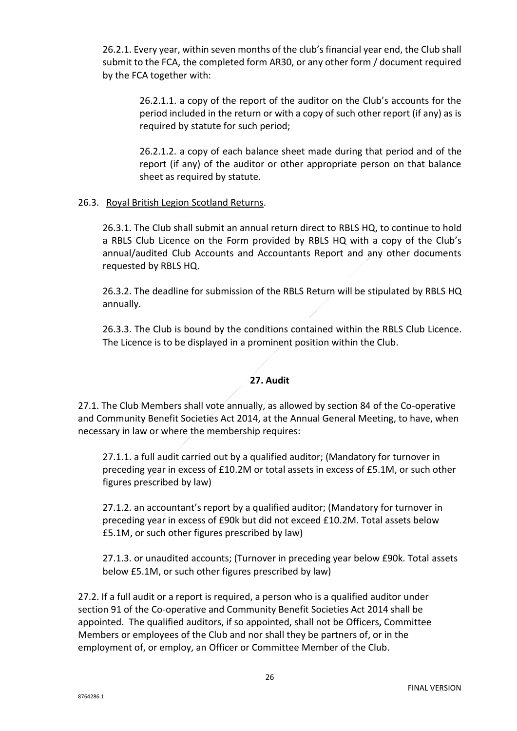26.2.1. Every year, within seven months of the club's financial year end, the Club shall submit to the FCA, the completed form AR30, or any other form / document required by the FCA together with:

> 26.2.1.1. a copy of the report of the auditor on the Club's accounts for the period included in the return or with a copy of such other report (if any) as is required by statute for such period;

> 26.2.1.2. a copy of each balance sheet made during that period and of the report (if any) of the auditor or other appropriate person on that balance sheet as required by statute.

# 26.3. Royal British Legion Scotland Returns.

26.3.1. The Club shall submit an annual return direct to RBLS HQ, to continue to hold a RBLS Club Licence on the Form provided by RBLS HQ with a copy of the Club's annual/audited Club Accounts and Accountants Report and any other documents requested by RBLS HQ.

26.3.2. The deadline for submission of the RBLS Return will be stipulated by RBLS HQ annually.

26.3.3. The Club is bound by the conditions contained within the RBLS Club Licence. The Licence is to be displayed in a prominent position within the Club.

# **27. Audit**

27.1. The Club Members shall vote annually, as allowed by section 84 of the Co-operative and Community Benefit Societies Act 2014, at the Annual General Meeting, to have, when necessary in law or where the membership requires:

27.1.1. a full audit carried out by a qualified auditor; (Mandatory for turnover in preceding year in excess of £10.2M or total assets in excess of £5.1M, or such other figures prescribed by law)

27.1.2. an accountant's report by a qualified auditor; (Mandatory for turnover in preceding year in excess of £90k but did not exceed £10.2M. Total assets below £5.1M, or such other figures prescribed by law)

27.1.3. or unaudited accounts; (Turnover in preceding year below £90k. Total assets below £5.1M, or such other figures prescribed by law)

27.2. If a full audit or a report is required, a person who is a qualified auditor under section 91 of the Co-operative and Community Benefit Societies Act 2014 shall be appointed. The qualified auditors, if so appointed, shall not be Officers, Committee Members or employees of the Club and nor shall they be partners of, or in the employment of, or employ, an Officer or Committee Member of the Club.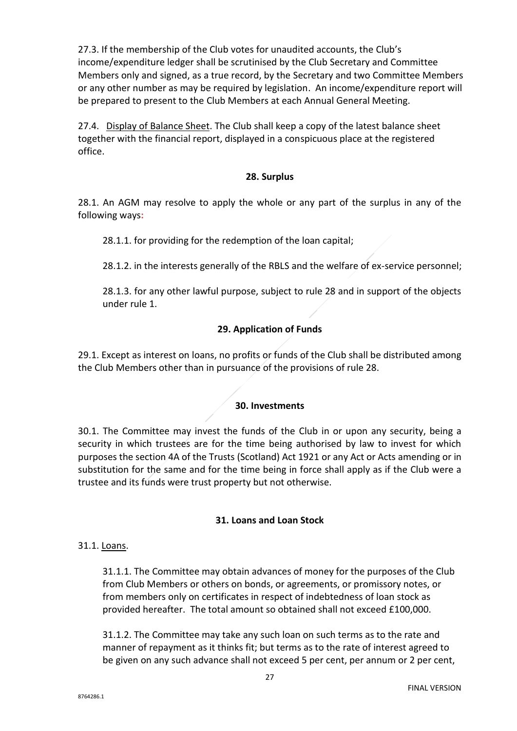27.3. If the membership of the Club votes for unaudited accounts, the Club's income/expenditure ledger shall be scrutinised by the Club Secretary and Committee Members only and signed, as a true record, by the Secretary and two Committee Members or any other number as may be required by legislation. An income/expenditure report will be prepared to present to the Club Members at each Annual General Meeting.

27.4. Display of Balance Sheet. The Club shall keep a copy of the latest balance sheet together with the financial report, displayed in a conspicuous place at the registered office.

# **28. Surplus**

28.1. An AGM may resolve to apply the whole or any part of the surplus in any of the following ways**:** 

28.1.1. for providing for the redemption of the loan capital;

28.1.2. in the interests generally of the RBLS and the welfare of ex-service personnel;

28.1.3. for any other lawful purpose, subject to rule 28 and in support of the objects under rule 1.

# **29. Application of Funds**

29.1. Except as interest on loans, no profits or funds of the Club shall be distributed among the Club Members other than in pursuance of the provisions of rule 28.

#### **30. Investments**

30.1. The Committee may invest the funds of the Club in or upon any security, being a security in which trustees are for the time being authorised by law to invest for which purposes the section 4A of the Trusts (Scotland) Act 1921 or any Act or Acts amending or in substitution for the same and for the time being in force shall apply as if the Club were a trustee and its funds were trust property but not otherwise.

#### **31. Loans and Loan Stock**

#### 31.1. Loans.

31.1.1. The Committee may obtain advances of money for the purposes of the Club from Club Members or others on bonds, or agreements, or promissory notes, or from members only on certificates in respect of indebtedness of loan stock as provided hereafter. The total amount so obtained shall not exceed £100,000.

31.1.2. The Committee may take any such loan on such terms as to the rate and manner of repayment as it thinks fit; but terms as to the rate of interest agreed to be given on any such advance shall not exceed 5 per cent, per annum or 2 per cent,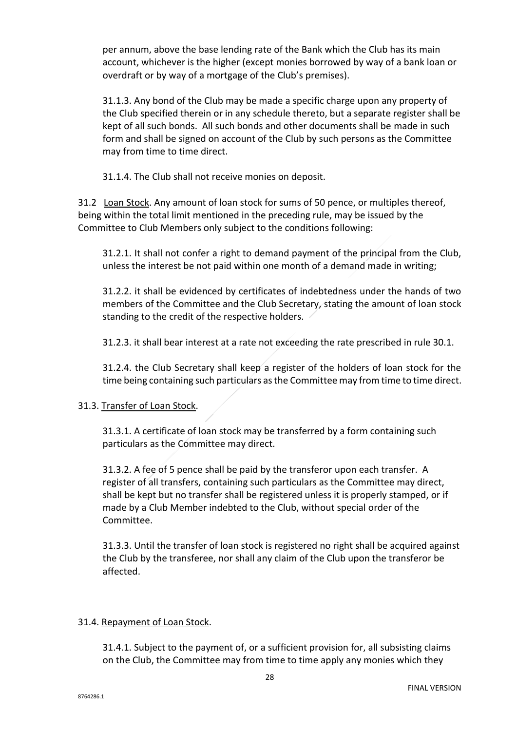per annum, above the base lending rate of the Bank which the Club has its main account, whichever is the higher (except monies borrowed by way of a bank loan or overdraft or by way of a mortgage of the Club's premises).

31.1.3. Any bond of the Club may be made a specific charge upon any property of the Club specified therein or in any schedule thereto, but a separate register shall be kept of all such bonds. All such bonds and other documents shall be made in such form and shall be signed on account of the Club by such persons as the Committee may from time to time direct.

31.1.4. The Club shall not receive monies on deposit.

31.2 Loan Stock. Any amount of loan stock for sums of 50 pence, or multiples thereof, being within the total limit mentioned in the preceding rule, may be issued by the Committee to Club Members only subject to the conditions following:

31.2.1. It shall not confer a right to demand payment of the principal from the Club, unless the interest be not paid within one month of a demand made in writing;

31.2.2. it shall be evidenced by certificates of indebtedness under the hands of two members of the Committee and the Club Secretary, stating the amount of loan stock standing to the credit of the respective holders.

31.2.3. it shall bear interest at a rate not exceeding the rate prescribed in rule 30.1.

31.2.4. the Club Secretary shall keep a register of the holders of loan stock for the time being containing such particulars as the Committee may from time to time direct.

# 31.3. Transfer of Loan Stock.

31.3.1. A certificate of loan stock may be transferred by a form containing such particulars as the Committee may direct.

31.3.2. A fee of 5 pence shall be paid by the transferor upon each transfer. A register of all transfers, containing such particulars as the Committee may direct, shall be kept but no transfer shall be registered unless it is properly stamped, or if made by a Club Member indebted to the Club, without special order of the Committee.

31.3.3. Until the transfer of loan stock is registered no right shall be acquired against the Club by the transferee, nor shall any claim of the Club upon the transferor be affected.

#### 31.4. Repayment of Loan Stock.

31.4.1. Subject to the payment of, or a sufficient provision for, all subsisting claims on the Club, the Committee may from time to time apply any monies which they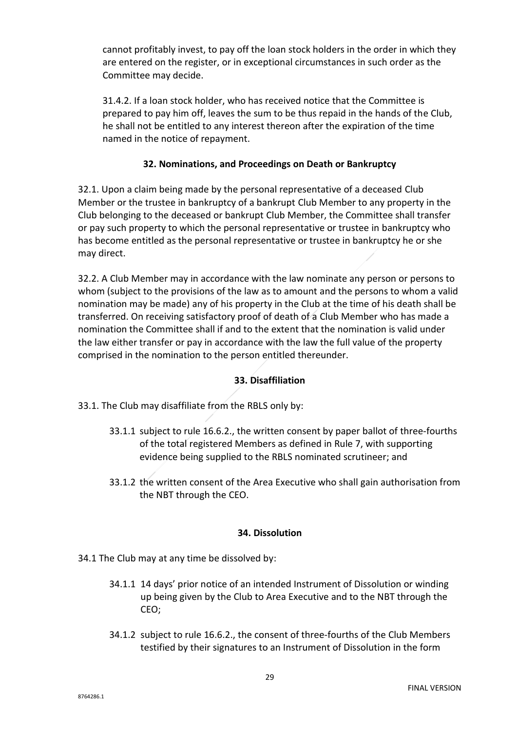cannot profitably invest, to pay off the loan stock holders in the order in which they are entered on the register, or in exceptional circumstances in such order as the Committee may decide.

31.4.2. If a loan stock holder, who has received notice that the Committee is prepared to pay him off, leaves the sum to be thus repaid in the hands of the Club, he shall not be entitled to any interest thereon after the expiration of the time named in the notice of repayment.

# **32. Nominations, and Proceedings on Death or Bankruptcy**

32.1. Upon a claim being made by the personal representative of a deceased Club Member or the trustee in bankruptcy of a bankrupt Club Member to any property in the Club belonging to the deceased or bankrupt Club Member, the Committee shall transfer or pay such property to which the personal representative or trustee in bankruptcy who has become entitled as the personal representative or trustee in bankruptcy he or she may direct.

32.2. A Club Member may in accordance with the law nominate any person or persons to whom (subject to the provisions of the law as to amount and the persons to whom a valid nomination may be made) any of his property in the Club at the time of his death shall be transferred. On receiving satisfactory proof of death of a Club Member who has made a nomination the Committee shall if and to the extent that the nomination is valid under the law either transfer or pay in accordance with the law the full value of the property comprised in the nomination to the person entitled thereunder.

# **33. Disaffiliation**

33.1. The Club may disaffiliate from the RBLS only by:

- 33.1.1 subject to rule 16.6.2., the written consent by paper ballot of three-fourths of the total registered Members as defined in Rule 7, with supporting evidence being supplied to the RBLS nominated scrutineer; and
- 33.1.2 the written consent of the Area Executive who shall gain authorisation from the NBT through the CEO.

# **34. Dissolution**

- 34.1 The Club may at any time be dissolved by:
	- 34.1.1 14 days' prior notice of an intended Instrument of Dissolution or winding up being given by the Club to Area Executive and to the NBT through the CEO;
	- 34.1.2 subject to rule 16.6.2., the consent of three-fourths of the Club Members testified by their signatures to an Instrument of Dissolution in the form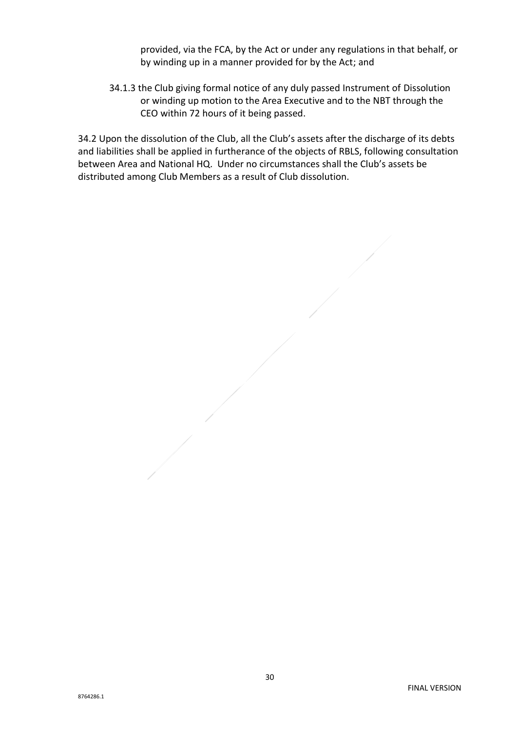provided, via the FCA, by the Act or under any regulations in that behalf, or by winding up in a manner provided for by the Act; and

34.1.3 the Club giving formal notice of any duly passed Instrument of Dissolution or winding up motion to the Area Executive and to the NBT through the CEO within 72 hours of it being passed.

34.2 Upon the dissolution of the Club, all the Club's assets after the discharge of its debts and liabilities shall be applied in furtherance of the objects of RBLS, following consultation between Area and National HQ. Under no circumstances shall the Club's assets be distributed among Club Members as a result of Club dissolution.

8764286.1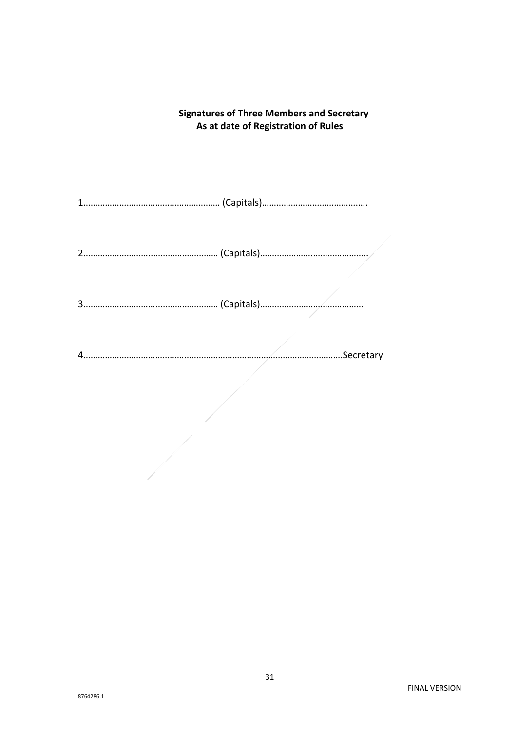# **As at date of Registration of Rules** 1………………………………………………… (Capitals)………………………………….…. 2………………………..……………………… (Capitals)………………….………………….. 3…………………………..…………………… (Capitals)………….………………………… 4……………………………………..……………………………………………………….Secretary

**Signatures of Three Members and Secretary**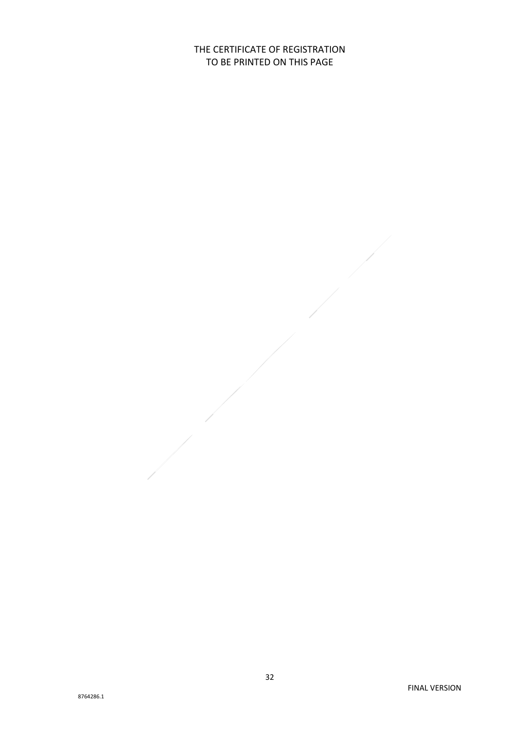THE CERTIFICATE OF REGISTRATION TO BE PRINTED ON THIS PAGE

8764286.1